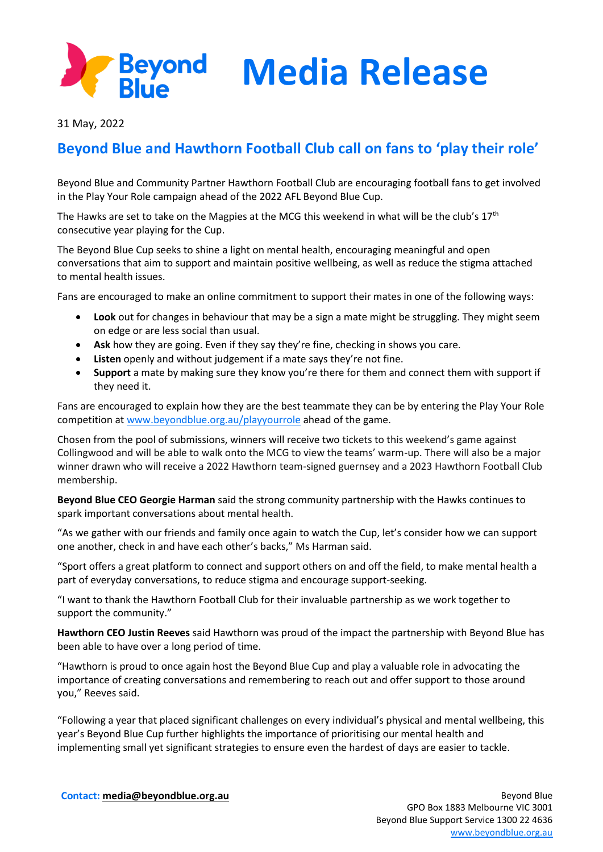

**Media Release**

31 May, 2022

## **Beyond Blue and Hawthorn Football Club call on fans to 'play their role'**

Beyond Blue and Community Partner Hawthorn Football Club are encouraging football fans to get involved in the Play Your Role campaign ahead of the 2022 AFL Beyond Blue Cup.

The Hawks are set to take on the Magpies at the MCG this weekend in what will be the club's  $17<sup>th</sup>$ consecutive year playing for the Cup.

The Beyond Blue Cup seeks to shine a light on mental health, encouraging meaningful and open conversations that aim to support and maintain positive wellbeing, as well as reduce the stigma attached to mental health issues.

Fans are encouraged to make an online commitment to support their mates in one of the following ways:

- **Look** out for changes in behaviour that may be a sign a mate might be struggling. They might seem on edge or are less social than usual.
- **Ask** how they are going. Even if they say they're fine, checking in shows you care.
- **Listen** openly and without judgement if a mate says they're not fine.
- **Support** a mate by making sure they know you're there for them and connect them with support if they need it.

Fans are encouraged to explain how they are the best teammate they can be by entering the Play Your Role competition at [www.beyondblue.org.au/playyourrole](http://www.beyondblue.org.au/playyourrole) ahead of the game.

Chosen from the pool of submissions, winners will receive two tickets to this weekend's game against Collingwood and will be able to walk onto the MCG to view the teams' warm-up. There will also be a major winner drawn who will receive a 2022 Hawthorn team-signed guernsey and a 2023 Hawthorn Football Club membership.

**Beyond Blue CEO Georgie Harman** said the strong community partnership with the Hawks continues to spark important conversations about mental health.

"As we gather with our friends and family once again to watch the Cup, let's consider how we can support one another, check in and have each other's backs," Ms Harman said.

"Sport offers a great platform to connect and support others on and off the field, to make mental health a part of everyday conversations, to reduce stigma and encourage support-seeking.

"I want to thank the Hawthorn Football Club for their invaluable partnership as we work together to support the community."

**Hawthorn CEO Justin Reeves** said Hawthorn was proud of the impact the partnership with Beyond Blue has been able to have over a long period of time.

"Hawthorn is proud to once again host the Beyond Blue Cup and play a valuable role in advocating the importance of creating conversations and remembering to reach out and offer support to those around you," Reeves said.

"Following a year that placed significant challenges on every individual's physical and mental wellbeing, this year's Beyond Blue Cup further highlights the importance of prioritising our mental health and implementing small yet significant strategies to ensure even the hardest of days are easier to tackle.